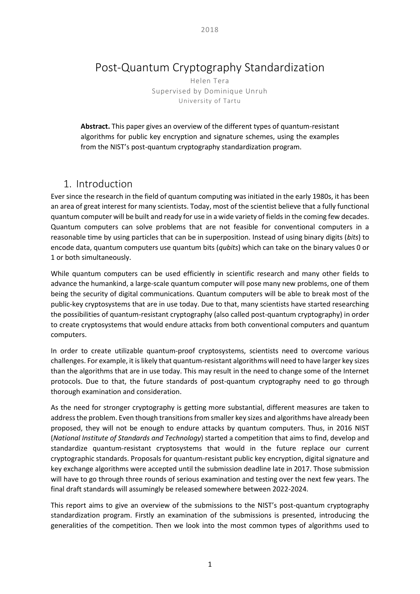# Post-Quantum Cryptography Standardization

Helen Tera Supervised by Dominique Unruh University of Tartu

**Abstract.** This paper gives an overview of the different types of quantum-resistant algorithms for public key encryption and signature schemes, using the examples from the NIST's post-quantum cryptography standardization program.

# 1. Introduction

Ever since the research in the field of quantum computing was initiated in the early 1980s, it has been an area of great interest for many scientists. Today, most of the scientist believe that a fully functional quantum computer will be built and ready for use in a wide variety of fields in the coming few decades. Quantum computers can solve problems that are not feasible for conventional computers in a reasonable time by using particles that can be in superposition. Instead of using binary digits (*bits*) to encode data, quantum computers use quantum bits (*qubits*) which can take on the binary values 0 or 1 or both simultaneously.

While quantum computers can be used efficiently in scientific research and many other fields to advance the humankind, a large-scale quantum computer will pose many new problems, one of them being the security of digital communications. Quantum computers will be able to break most of the public-key cryptosystems that are in use today. Due to that, many scientists have started researching the possibilities of quantum-resistant cryptography (also called post-quantum cryptography) in order to create cryptosystems that would endure attacks from both conventional computers and quantum computers.

In order to create utilizable quantum-proof cryptosystems, scientists need to overcome various challenges. For example, it is likely that quantum-resistant algorithms will need to have larger key sizes than the algorithms that are in use today. This may result in the need to change some of the Internet protocols. Due to that, the future standards of post-quantum cryptography need to go through thorough examination and consideration.

As the need for stronger cryptography is getting more substantial, different measures are taken to address the problem. Even though transitions from smaller key sizes and algorithms have already been proposed, they will not be enough to endure attacks by quantum computers. Thus, in 2016 NIST (*National Institute of Standards and Technology*) started a competition that aims to find, develop and standardize quantum-resistant cryptosystems that would in the future replace our current cryptographic standards. Proposals for quantum-resistant public key encryption, digital signature and key exchange algorithms were accepted until the submission deadline late in 2017. Those submission will have to go through three rounds of serious examination and testing over the next few years. The final draft standards will assumingly be released somewhere between 2022-2024.

This report aims to give an overview of the submissions to the NIST's post-quantum cryptography standardization program. Firstly an examination of the submissions is presented, introducing the generalities of the competition. Then we look into the most common types of algorithms used to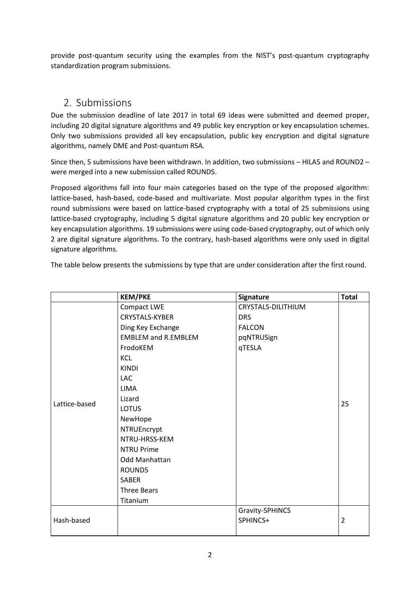provide post-quantum security using the examples from the NIST's post-quantum cryptography standardization program submissions.

# 2. Submissions

Due the submission deadline of late 2017 in total 69 ideas were submitted and deemed proper, including 20 digital signature algorithms and 49 public key encryption or key encapsulation schemes. Only two submissions provided all key encapsulation, public key encryption and digital signature algorithms, namely DME and Post-quantum RSA.

Since then, 5 submissions have been withdrawn. In addition, two submissions – HILA5 and ROUND2 – were merged into a new submission called ROUND5.

Proposed algorithms fall into four main categories based on the type of the proposed algorithm: lattice-based, hash-based, code-based and multivariate. Most popular algorithm types in the first round submissions were based on lattice-based cryptography with a total of 25 submissions using lattice-based cryptography, including 5 digital signature algorithms and 20 public key encryption or key encapsulation algorithms. 19 submissions were using code-based cryptography, out of which only 2 are digital signature algorithms. To the contrary, hash-based algorithms were only used in digital signature algorithms.

|  |  |  | The table below presents the submissions by type that are under consideration after the first round. |  |
|--|--|--|------------------------------------------------------------------------------------------------------|--|
|  |  |  |                                                                                                      |  |
|  |  |  |                                                                                                      |  |
|  |  |  |                                                                                                      |  |

|               | <b>KEM/PKE</b>             | Signature          | <b>Total</b>   |
|---------------|----------------------------|--------------------|----------------|
|               | Compact LWE                | CRYSTALS-DILITHIUM |                |
|               | <b>CRYSTALS-KYBER</b>      | <b>DRS</b>         |                |
|               | Ding Key Exchange          | <b>FALCON</b>      |                |
|               | <b>EMBLEM and R.EMBLEM</b> | pqNTRUSign         |                |
|               | FrodoKEM                   | qTESLA             |                |
|               | <b>KCL</b>                 |                    |                |
|               | <b>KINDI</b>               |                    |                |
|               | LAC                        |                    |                |
|               | <b>LIMA</b>                |                    |                |
|               | Lizard                     |                    |                |
| Lattice-based | <b>LOTUS</b>               |                    | 25             |
|               | NewHope                    |                    |                |
|               | NTRUEncrypt                |                    |                |
|               | NTRU-HRSS-KEM              |                    |                |
|               | <b>NTRU Prime</b>          |                    |                |
|               | Odd Manhattan              |                    |                |
|               | ROUND5                     |                    |                |
|               | <b>SABER</b>               |                    |                |
|               | <b>Three Bears</b>         |                    |                |
|               | Titanium                   |                    |                |
|               |                            | Gravity-SPHINCS    |                |
| Hash-based    |                            | SPHINCS+           | $\overline{2}$ |
|               |                            |                    |                |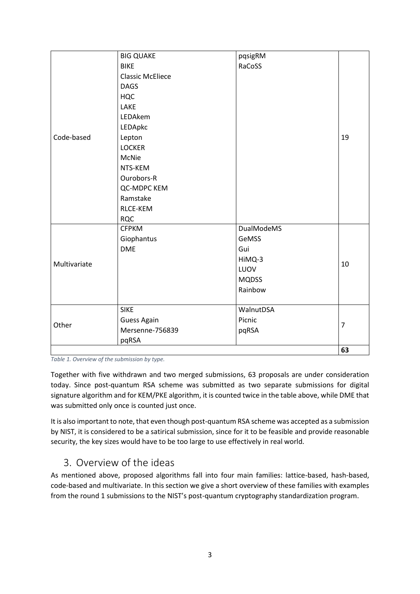|              | <b>BIG QUAKE</b>        | pqsigRM           |                |  |
|--------------|-------------------------|-------------------|----------------|--|
|              | <b>BIKE</b>             | RaCoSS            |                |  |
|              | <b>Classic McEliece</b> |                   |                |  |
|              | <b>DAGS</b>             |                   |                |  |
|              | <b>HQC</b>              |                   |                |  |
|              | LAKE                    |                   |                |  |
|              | LEDAkem                 |                   |                |  |
|              | LEDApkc                 |                   |                |  |
| Code-based   | Lepton                  |                   | 19             |  |
|              | <b>LOCKER</b>           |                   |                |  |
|              | McNie                   |                   |                |  |
|              | NTS-KEM                 |                   |                |  |
|              | Ourobors-R              |                   |                |  |
|              | QC-MDPC KEM             |                   |                |  |
|              | Ramstake                |                   |                |  |
|              | RLCE-KEM                |                   |                |  |
|              | <b>RQC</b>              |                   |                |  |
|              | <b>CFPKM</b>            | <b>DualModeMS</b> |                |  |
|              | Giophantus              | GeMSS             |                |  |
|              | <b>DME</b>              | Gui               |                |  |
| Multivariate |                         | HiMQ-3            |                |  |
|              |                         | LUOV              | 10             |  |
|              |                         | <b>MQDSS</b>      |                |  |
|              |                         | Rainbow           |                |  |
|              |                         |                   |                |  |
|              | <b>SIKE</b>             | WalnutDSA         |                |  |
| Other        | <b>Guess Again</b>      | Picnic            | $\overline{7}$ |  |
|              | Mersenne-756839         | pqRSA             |                |  |
|              | pqRSA                   |                   |                |  |
|              |                         |                   | 63             |  |

*Table 1. Overview of the submission by type.*

Together with five withdrawn and two merged submissions, 63 proposals are under consideration today. Since post-quantum RSA scheme was submitted as two separate submissions for digital signature algorithm and for KEM/PKE algorithm, it is counted twice in the table above, while DME that was submitted only once is counted just once.

It is also important to note, that even though post-quantum RSA scheme was accepted as a submission by NIST, it is considered to be a satirical submission, since for it to be feasible and provide reasonable security, the key sizes would have to be too large to use effectively in real world.

# 3. Overview of the ideas

As mentioned above, proposed algorithms fall into four main families: lattice-based, hash-based, code-based and multivariate. In this section we give a short overview of these families with examples from the round 1 submissions to the NIST's post-quantum cryptography standardization program.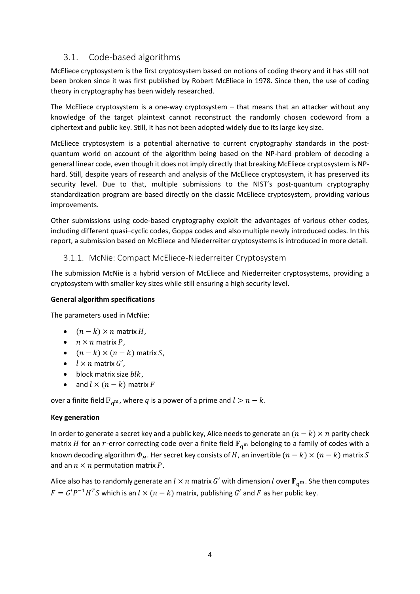## 3.1. Code-based algorithms

McEliece cryptosystem is the first cryptosystem based on notions of coding theory and it has still not been broken since it was first published by Robert McEliece in 1978. Since then, the use of coding theory in cryptography has been widely researched.

The McEliece cryptosystem is a one-way cryptosystem – that means that an attacker without any knowledge of the target plaintext cannot reconstruct the randomly chosen codeword from a ciphertext and public key. Still, it has not been adopted widely due to its large key size.

McEliece cryptosystem is a potential alternative to current cryptography standards in the postquantum world on account of the algorithm being based on the NP-hard problem of decoding a general linear code, even though it does not imply directly that breaking McEliece cryptosystem is NPhard. Still, despite years of research and analysis of the McEliece cryptosystem, it has preserved its security level. Due to that, multiple submissions to the NIST's post-quantum cryptography standardization program are based directly on the classic McEliece cryptosystem, providing various improvements.

Other submissions using code-based cryptography exploit the advantages of various other codes, including different quasi–cyclic codes, Goppa codes and also multiple newly introduced codes. In this report, a submission based on McEliece and Niederreiter cryptosystems is introduced in more detail.

#### 3.1.1. McNie: Compact McEliece-Niederreiter Cryptosystem

The submission McNie is a hybrid version of McEliece and Niederreiter cryptosystems, providing a cryptosystem with smaller key sizes while still ensuring a high security level.

#### **General algorithm specifications**

The parameters used in McNie:

- $(n k) \times n$  matrix H,
- $n \times n$  matrix P,
- $(n k) \times (n k)$  matrix S,
- $\bullet$   $l \times n$  matrix  $G'$ ,
- $\bullet$  block matrix size  $blk$ ,
- and  $l \times (n k)$  matrix F

over a finite field  $\mathbb{F}_{q^m}$ , where q is a power of a prime and  $l > n - k$ .

#### **Key generation**

In order to generate a secret key and a public key, Alice needs to generate an  $(n - k) \times n$  parity check matrix *H* for an *r*-error correcting code over a finite field  $\mathbb{F}_{q^m}$  belonging to a family of codes with a known decoding algorithm  $\Phi_H$ . Her secret key consists of H, an invertible  $(n - k) \times (n - k)$  matrix S and an  $n \times n$  permutation matrix P.

Alice also has to randomly generate an  $l \times n$  matrix G' with dimension l over  $\mathbb{F}_{q^m}$ . She then computes  $F = G'P^{-1}H^{T}S$  which is an  $l \times (n-k)$  matrix, publishing  $G'$  and  $F$  as her public key.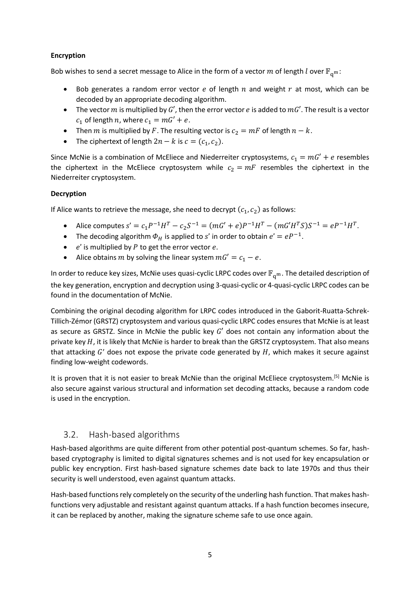#### **Encryption**

Bob wishes to send a secret message to Alice in the form of a vector m of length  $l$  over  $\mathbb{F}_{q^m}$ :

- Bob generates a random error vector  $e$  of length  $n$  and weight  $r$  at most, which can be decoded by an appropriate decoding algorithm.
- The vector  $m$  is multiplied by  $G'$ , then the error vector  $e$  is added to  $mG'$ . The result is a vector  $c_1$  of length *n*, where  $c_1 = mG' + e$ .
- Then *m* is multiplied by *F*. The resulting vector is  $c_2 = mF$  of length  $n k$ .
- The ciphertext of length  $2n k$  is  $c = (c_1, c_2)$ .

Since McNie is a combination of McEliece and Niederreiter cryptosystems,  $c_1 = mG' + e$  resembles the ciphertext in the McEliece cryptosystem while  $c_2 = mF$  resembles the ciphertext in the Niederreiter cryptosystem.

#### **Decryption**

If Alice wants to retrieve the message, she need to decrypt  $(c_1, c_2)$  as follows:

- Alice computes  $s' = c_1 P^{-1} H^T c_2 S^{-1} = (mG' + e) P^{-1} H^T (mG'H^TS) S^{-1} = e P^{-1} H^T$ .
- The decoding algorithm  $\Phi_H$  is applied to s' in order to obtain  $e' = eP^{-1}$ .
- $\bullet$  e' is multiplied by P to get the error vector e.
- Alice obtains m by solving the linear system  $mG' = c_1 e$ .

In order to reduce key sizes, McNie uses quasi-cyclic LRPC codes over  $\mathbb{F}_{q^m}$ . The detailed description of the key generation, encryption and decryption using 3-quasi-cyclic or 4-quasi-cyclic LRPC codes can be found in the documentation of McNie.

Combining the original decoding algorithm for LRPC codes introduced in the Gaborit-Ruatta-Schrek-Tillich-Zémor (GRSTZ) cryptosystem and various quasi-cyclic LRPC codes ensures that McNie is at least as secure as GRSTZ. Since in McNie the public key  $G'$  does not contain any information about the private key  $H$ , it is likely that McNie is harder to break than the GRSTZ cryptosystem. That also means that attacking  $G'$  does not expose the private code generated by  $H$ , which makes it secure against finding low-weight codewords.

It is proven that it is not easier to break McNie than the original McEliece cryptosystem.<sup>[5]</sup> McNie is also secure against various structural and information set decoding attacks, because a random code is used in the encryption.

## 3.2. Hash-based algorithms

Hash-based algorithms are quite different from other potential post-quantum schemes. So far, hashbased cryptography is limited to digital signatures schemes and is not used for key encapsulation or public key encryption. First hash-based signature schemes date back to late 1970s and thus their security is well understood, even against quantum attacks.

Hash-based functions rely completely on the security of the underling hash function. That makes hashfunctions very adjustable and resistant against quantum attacks. If a hash function becomes insecure, it can be replaced by another, making the signature scheme safe to use once again.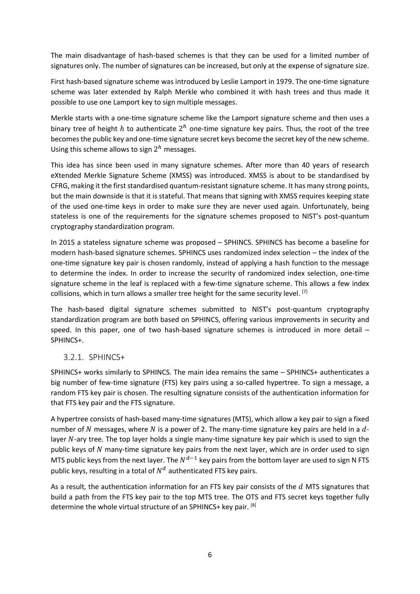The main disadvantage of hash-based schemes is that they can be used for a limited number of signatures only. The number of signatures can be increased, but only at the expense of signature size.

First hash-based signature scheme was introduced by Leslie Lamport in 1979. The one-time signature scheme was later extended by Ralph Merkle who combined it with hash trees and thus made it possible to use one Lamport key to sign multiple messages.

Merkle starts with a one-time signature scheme like the Lamport signature scheme and then uses a binary tree of height h to authenticate  $2^h$  one-time signature key pairs. Thus, the root of the tree becomes the public key and one-time signature secret keys become the secret key of the new scheme. Using this scheme allows to sign  $2^h$  messages.

This idea has since been used in many signature schemes. After more than 40 years of research eXtended Merkle Signature Scheme (XMSS) was introduced. XMSS is about to be standardised by CFRG, making it the first standardised quantum-resistant signature scheme. It has many strong points, but the main downside is that it is stateful. That means that signing with XMSS requires keeping state of the used one-time keys in order to make sure they are never used again. Unfortunately, being stateless is one of the requirements for the signature schemes proposed to NIST's post-quantum cryptography standardization program.

In 2015 a stateless signature scheme was proposed – SPHINCS. SPHINCS has become a baseline for modern hash-based signature schemes. SPHINCS uses randomized index selection – the index of the one-time signature key pair is chosen randomly, instead of applying a hash function to the message to determine the index. In order to increase the security of randomized index selection, one-time signature scheme in the leaf is replaced with a few-time signature scheme. This allows a few index collisions, which in turn allows a smaller tree height for the same security level.  $[7]$ 

The hash-based digital signature schemes submitted to NIST's post-quantum cryptography standardization program are both based on SPHINCS, offering various improvements in security and speed. In this paper, one of two hash-based signature schemes is introduced in more detail – SPHINCS+.

#### 3.2.1. SPHINCS+

SPHINCS+ works similarly to SPHINCS. The main idea remains the same – SPHINCS+ authenticates a big number of few-time signature (FTS) key pairs using a so-called hypertree. To sign a message, a random FTS key pair is chosen. The resulting signature consists of the authentication information for that FTS key pair and the FTS signature.

A hypertree consists of hash-based many-time signatures (MTS), which allow a key pair to sign a fixed number of N messages, where N is a power of 2. The many-time signature key pairs are held in a  $d$ layer N-ary tree. The top layer holds a single many-time signature key pair which is used to sign the public keys of  $N$  many-time signature key pairs from the next layer, which are in order used to sign MTS public keys from the next layer. The  $N^{d-1}$  key pairs from the bottom layer are used to sign N FTS public keys, resulting in a total of  $N^d$  authenticated FTS key pairs.

As a result, the authentication information for an FTS key pair consists of the  $d$  MTS signatures that build a path from the FTS key pair to the top MTS tree. The OTS and FTS secret keys together fully determine the whole virtual structure of an SPHINCS+ key pair. [8]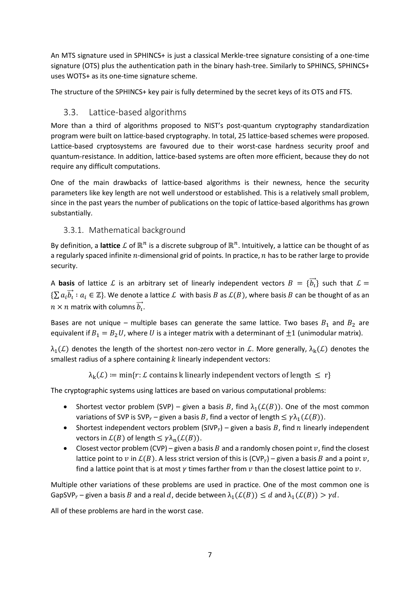An MTS signature used in SPHINCS+ is just a classical Merkle-tree signature consisting of a one-time signature (OTS) plus the authentication path in the binary hash-tree. Similarly to SPHINCS, SPHINCS+ uses WOTS+ as its one-time signature scheme.

The structure of the SPHINCS+ key pair is fully determined by the secret keys of its OTS and FTS.

## 3.3. Lattice-based algorithms

More than a third of algorithms proposed to NIST's post-quantum cryptography standardization program were built on lattice-based cryptography. In total, 25 lattice-based schemes were proposed. Lattice-based cryptosystems are favoured due to their worst-case hardness security proof and quantum-resistance. In addition, lattice-based systems are often more efficient, because they do not require any difficult computations.

One of the main drawbacks of lattice-based algorithms is their newness, hence the security parameters like key length are not well understood or established. This is a relatively small problem, since in the past years the number of publications on the topic of lattice-based algorithms has grown substantially.

## 3.3.1. Mathematical background

By definition, a lattice  $\mathcal L$  of  $\mathbb R^n$  is a discrete subgroup of  $\mathbb R^n$ . Intuitively, a lattice can be thought of as a regularly spaced infinite  $n$ -dimensional grid of points. In practice,  $n$  has to be rather large to provide security.

A **basis** of lattice  $\mathcal L$  is an arbitrary set of linearly independent vectors  $B = \{\vec{b_l}\}$  such that  $\mathcal L =$  $\{\sum a_i\vec{b_i}: a_i \in \mathbb{Z}\}$ . We denote a lattice  $\mathcal L$  with basis  $B$  as  $\mathcal L(B)$ , where basis  $B$  can be thought of as an  $n \times n$  matrix with columns  $\overrightarrow{b_{\iota}}.$ 

Bases are not unique – multiple bases can generate the same lattice. Two bases  $B_1$  and  $B_2$  are equivalent if  $B_1 = B_2 U$ , where U is a integer matrix with a determinant of  $\pm 1$  (unimodular matrix).

 $\lambda_1(\mathcal{L})$  denotes the length of the shortest non-zero vector in  $\mathcal{L}$ . More generally,  $\lambda_k(\mathcal{L})$  denotes the smallest radius of a sphere containing  $k$  linearly independent vectors:

 $\lambda_k(\mathcal{L}) \coloneqq \min\{r: \mathcal{L} \text{ contains } k \text{ linearly independent vectors of length } \leq r\}$ 

The cryptographic systems using lattices are based on various computational problems:

- Shortest vector problem (SVP) given a basis B, find  $\lambda_1(\mathcal{L}(B))$ . One of the most common variations of SVP is SVP<sub>y</sub> – given a basis B, find a vector of length  $\leq \gamma \lambda_1(\mathcal{L}(B))$ .
- Shortest independent vectors problem (SIVP<sub>y</sub>) given a basis B, find *n* linearly independent vectors in  $\mathcal{L}(B)$  of length  $\leq \gamma \lambda_n(\mathcal{L}(B))$ .
- Closest vector problem (CVP) given a basis  $B$  and a randomly chosen point  $v$ , find the closest lattice point to v in  $\mathcal{L}(B)$ . A less strict version of this is  $(CVP_v)$  – given a basis B and a point  $v$ , find a lattice point that is at most  $\nu$  times farther from  $\nu$  than the closest lattice point to  $\nu$ .

Multiple other variations of these problems are used in practice. One of the most common one is GapSVP<sub>y</sub> – given a basis B and a real d, decide between  $\lambda_1(\mathcal{L}(B)) \leq d$  and  $\lambda_1(\mathcal{L}(B)) > \gamma d$ .

All of these problems are hard in the worst case.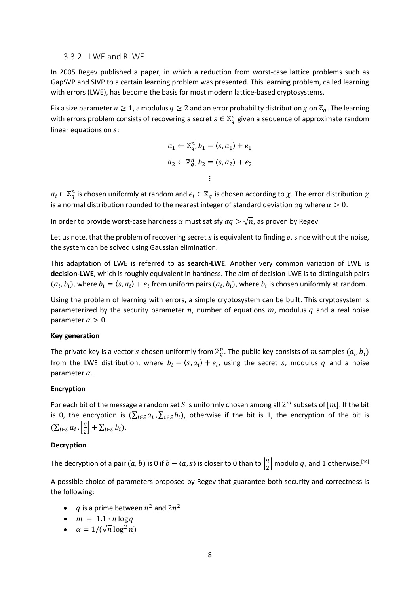#### 3.3.2. LWE and RLWE

In 2005 Regev published a paper, in which a reduction from worst-case lattice problems such as GapSVP and SIVP to a certain learning problem was presented. This learning problem, called learning with errors (LWE), has become the basis for most modern lattice-based cryptosystems.

Fix a size parameter  $n \geq 1$ , a modulus  $q \geq 2$  and an error probability distribution  $\chi$  on  $\mathbb{Z}_q$ . The learning with errors problem consists of recovering a secret  $s \in \mathbb{Z}_q^n$  given a sequence of approximate random linear equations on  $s$ :

$$
a_1 \leftarrow \mathbb{Z}_q^n, b_1 = \langle s, a_1 \rangle + e_1
$$
  

$$
a_2 \leftarrow \mathbb{Z}_q^n, b_2 = \langle s, a_2 \rangle + e_2
$$
  

$$
\vdots
$$

 $a_i \in \mathbb{Z}_q^n$  is chosen uniformly at random and  $e_i \in \mathbb{Z}_q$  is chosen according to  $\chi$ . The error distribution  $\chi$ is a normal distribution rounded to the nearest integer of standard deviation  $\alpha q$  where  $\alpha > 0$ .

In order to provide worst-case hardness  $\alpha$  must satisfy  $\alpha q > \sqrt{n}$ , as proven by Regev.

Let us note, that the problem of recovering secret  $s$  is equivalent to finding  $e$ , since without the noise, the system can be solved using Gaussian elimination.

This adaptation of LWE is referred to as **search-LWE**. Another very common variation of LWE is **decision-LWE**, which is roughly equivalent in hardness**.** The aim of decision-LWE is to distinguish pairs  $(a_i, b_i)$ , where  $b_i = \langle s, a_i \rangle + e_i$  from uniform pairs  $(a_i, b_i)$ , where  $b_i$  is chosen uniformly at random.

Using the problem of learning with errors, a simple cryptosystem can be built. This cryptosystem is parameterized by the security parameter  $n$ , number of equations  $m$ , modulus  $q$  and a real noise parameter  $\alpha > 0$ .

#### **Key generation**

The private key is a vector s chosen uniformly from  $\mathbb{Z}_q^n$ . The public key consists of  $m$  samples  $(a_i, b_i)$ from the LWE distribution, where  $b_i = \langle s, a_i \rangle + e_i$ , using the secret s, modulus q and a noise parameter  $\alpha$ .

#### **Encryption**

For each bit of the message a random set S is uniformly chosen among all  $2^m$  subsets of  $[m]$ . If the bit is 0, the encryption is  $(\sum_{i\in S}a_i,\sum_{i\in S}b_i)$ , otherwise if the bit is 1, the encryption of the bit is  $\left(\sum_{i\in S}a_i\right)\left|\frac{q}{2}\right|$  $\left[\frac{q}{2}\right] + \sum_{i \in S} b_i$ ).

#### **Decryption**

The decryption of a pair  $(a, b)$  is 0 if  $b - \langle a, s \rangle$  is closer to 0 than to  $\left| \frac{a}{2} \right|$  $\frac{q}{2}$  modulo  $q$ , and 1 otherwise.<sup>[14]</sup>

A possible choice of parameters proposed by Regev that guarantee both security and correctness is the following:

- q is a prime between  $n^2$  and  $2n^2$
- $\bullet$   $m = 1.1 \cdot n \log q$
- $\alpha = 1/(\sqrt{n} \log^2 n)$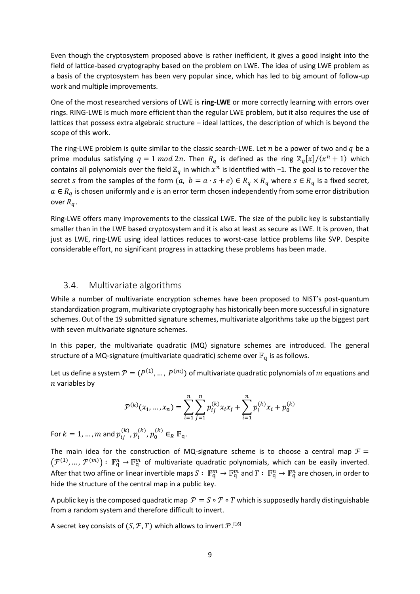Even though the cryptosystem proposed above is rather inefficient, it gives a good insight into the field of lattice-based cryptography based on the problem on LWE. The idea of using LWE problem as a basis of the cryptosystem has been very popular since, which has led to big amount of follow-up work and multiple improvements.

One of the most researched versions of LWE is **ring-LWE** or more correctly learning with errors over rings. RING-LWE is much more efficient than the regular LWE problem, but it also requires the use of lattices that possess extra algebraic structure – ideal lattices, the description of which is beyond the scope of this work.

The ring-LWE problem is quite similar to the classic search-LWE. Let  $n$  be a power of two and  $q$  be a prime modulus satisfying  $q = 1 \mod 2n$ . Then  $R_q$  is defined as the ring  $\mathbb{Z}_q[x]/\langle x^n + 1 \rangle$  which contains all polynomials over the field  $\mathbb{Z}_q$  in which  $x^n$  is identified with -1. The goal is to recover the secret *s* from the samples of the form  $(a, b = a \cdot s + e) \in R_q \times R_q$  where  $s \in R_q$  is a fixed secret,  $a \in R_a$  is chosen uniformly and e is an error term chosen independently from some error distribution over  $R_a$ .

Ring-LWE offers many improvements to the classical LWE. The size of the public key is substantially smaller than in the LWE based cryptosystem and it is also at least as secure as LWE. It is proven, that just as LWE, ring-LWE using ideal lattices reduces to worst-case lattice problems like SVP. Despite considerable effort, no significant progress in attacking these problems has been made.

#### 3.4. Multivariate algorithms

While a number of multivariate encryption schemes have been proposed to NIST's post-quantum standardization program, multivariate cryptography has historically been more successful in signature schemes. Out of the 19 submitted signature schemes, multivariate algorithms take up the biggest part with seven multivariate signature schemes.

In this paper, the multivariate quadratic (MQ) signature schemes are introduced. The general structure of a MQ-signature (multivariate quadratic) scheme over  $\mathbb{F}_q$  is as follows.

Let us define a system  $\mathcal{P}=(P^{(1)},...,P^{(m)})$  of multivariate quadratic polynomials of  $m$  equations and  $n$  variables by

$$
\mathcal{P}^{(k)}(x_1, ..., x_n) = \sum_{i=1}^n \sum_{j=1}^n p_{ij}^{(k)} x_i x_j + \sum_{i=1}^n p_i^{(k)} x_i + p_0^{(k)}
$$

For  $k=1,...,m$  and  $p_{ij}^{(k)}$  ,  $p_{i}^{(k)}$  ,  $p_{0}^{(k)} \in_R \mathbb{F}_q$ .

The main idea for the construction of MQ-signature scheme is to choose a central map  $\mathcal{F} =$  $(\mathcal{F}^{(1)},\ldots,\mathcal{F}^{(m)})\colon\,\mathbb{F}_{q}^n\to\mathbb{F}_{q}^m$  of multivariate quadratic polynomials, which can be easily inverted. After that two affine or linear invertible maps  $S: \ \mathbb{F}_q^m \to \mathbb{F}_q^n$  and  $T: \ \mathbb{F}_q^n \to \mathbb{F}_q^n$  are chosen, in order to hide the structure of the central map in a public key.

A public key is the composed quadratic map  $\mathcal{P} = S \circ \mathcal{F} \circ T$  which is supposedly hardly distinguishable from a random system and therefore difficult to invert.

A secret key consists of  $(S, \mathcal{F}, T)$  which allows to invert  $\mathcal{P}.^{\texttt{[16]}}$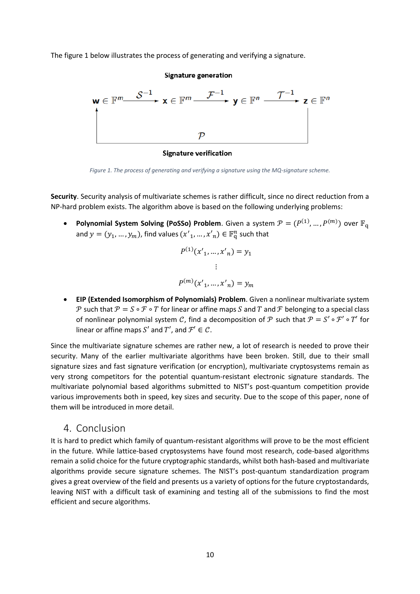The figure 1 below illustrates the process of generating and verifying a signature.



**Signature verification** 

*Figure 1. The process of generating and verifying a signature using the MQ-signature scheme.*

**Security**. Security analysis of multivariate schemes is rather difficult, since no direct reduction from a NP-hard problem exists. The algorithm above is based on the following underlying problems:

• Polynomial System Solving (PoSSo) Problem. Given a system  $\mathcal{P} = (P^{(1)}, ..., P^{(m)})$  over  $\mathbb{F}_q$ and  $y = (y_1, ..., y_m)$ , find values  $(x'_1, ..., x'_n) \in \mathbb{F}_q^n$  such that

$$
P^{(1)}(x'_{1},...,x'_{n}) = y_{1}
$$
  
 
$$
\vdots
$$
  
 
$$
P^{(m)}(x'_{1},...,x'_{n}) = y_{m}
$$

 **EIP (Extended Isomorphism of Polynomials) Problem**. Given a nonlinear multivariate system P such that  $P = S \circ F \circ T$  for linear or affine maps S and T and F belonging to a special class of nonlinear polynomial system C, find a decomposition of P such that  $P = S' \circ T' \circ T'$  for linear or affine maps  $S'$  and  $T'$ , and  $\mathcal{F}' \in \mathcal{C}$ .

Since the multivariate signature schemes are rather new, a lot of research is needed to prove their security. Many of the earlier multivariate algorithms have been broken. Still, due to their small signature sizes and fast signature verification (or encryption), multivariate cryptosystems remain as very strong competitors for the potential quantum-resistant electronic signature standards. The multivariate polynomial based algorithms submitted to NIST's post-quantum competition provide various improvements both in speed, key sizes and security. Due to the scope of this paper, none of them will be introduced in more detail.

## 4. Conclusion

It is hard to predict which family of quantum-resistant algorithms will prove to be the most efficient in the future. While lattice-based cryptosystems have found most research, code-based algorithms remain a solid choice for the future cryptographic standards, whilst both hash-based and multivariate algorithms provide secure signature schemes. The NIST's post-quantum standardization program gives a great overview of the field and presents us a variety of options for the future cryptostandards, leaving NIST with a difficult task of examining and testing all of the submissions to find the most efficient and secure algorithms.